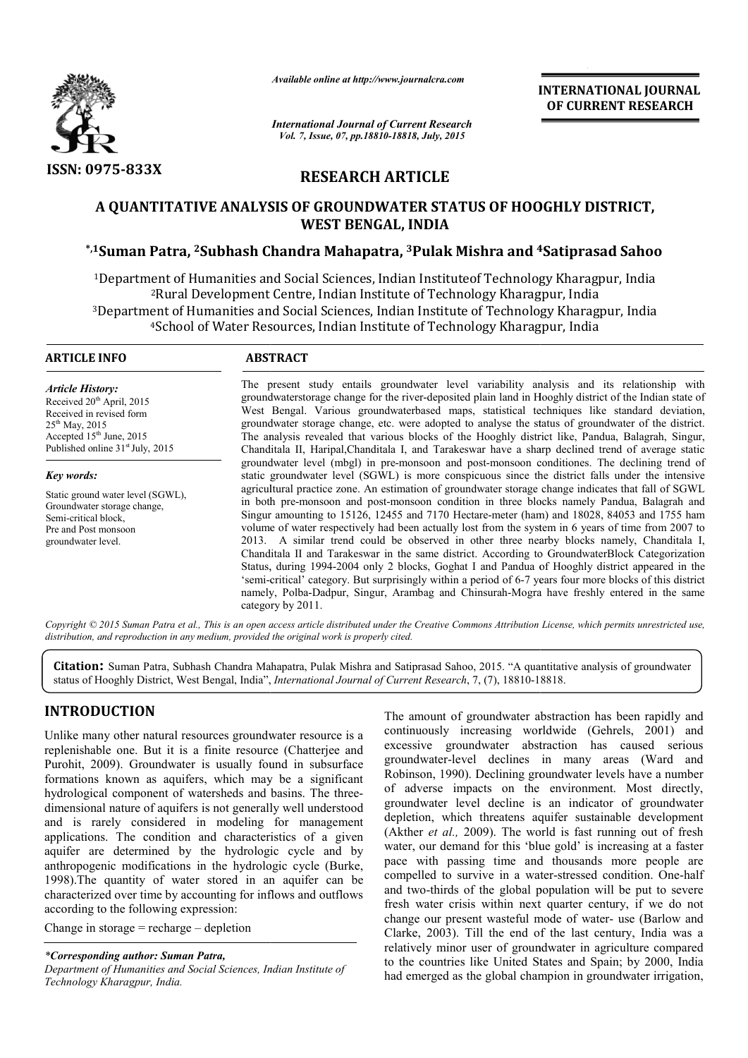

*Available online at http://www.journalcra.com*

*International Journal of Current Research Vol. 7, Issue, 07, pp.18810-18818, July, 2015*

INTERNATIONAL INTERNATIONAL JOURNAL OF CURRENT RESEARCH

# RESEARCH ARTICLE

# A QUANTITATIVE ANALYSIS OF GROUNDWATER STATUS OF HOOGHLY DISTRICT, A QUANTITATIVE ANALYSIS OF GROUNDWATER STATUS OF HOOGHLY DISTRICT,<br>WEST BENGAL, INDIA<br>A Suman Patra, <sup>2</sup>Subhash Chandra Mahapatra, <sup>3</sup>Pulak Mishra and <sup>4</sup>Satiprasad Sahoo\* WEST BENGAL, INDIA

1Department of Humanities and Social Sciences, Indian Instituteof Technology Kharagpur, India 2Rural Development Centre, Indian Institute of Technology Kharagpur, India <sup>1</sup>Department of Humanities and Social Sciences, Indian Institute of Technology Kharagpur, India<sup>2</sup>Rural Development Centre, Indian Institute of Technology Kharagpur, India<sup>3</sup>Department of Humanities and Social Sciences, I 4School of Water Resources, Indian Institute of Technology Kharagpur, India School

#### ARTICLE INFO ABSTRACT The present study entails groundwater level variability analysis and its relationship with groundwaterstorage change for the river-deposited plain land in Hooghly district of the Indian state of The present study entails groundwater level variability analysis and its relationship with groundwaterstorage change for the river-deposited plain land in Hooghly district of the Indian state of West Bengal. Various ground *Article History:* Received  $20<sup>th</sup>$  April, 2015 Received in revised form

 $25<sup>th</sup>$  May, 2015 Accepted 15th June, 2015 Published online  $31<sup>st</sup>$  July, 2015

*Key words:* Static ground water level (SGWL), Groundwater storage change, Semi-critical block, Pre and Post monsoon groundwater level.

groundwater storage change, etc. were adopted to analyse the status of groundwater of the district. The analysis revealed that various blocks of the Hooghly district like, Pandua, Balagrah, Singur, Chanditala II, Haripal,Chanditala I, and Tarakeswar have a sharp declined trend of average static groundwater level (mbgl) in pre-monsoon and post-monsoon conditiones. The declining trend of static groundwater level (SGWL) is more conspicuous since the district falls under the intensive The analysis revealed that various blocks of the Hooghly district like, Pandua, Balagrah, Singur, Chanditala II, Haripal,Chanditala I, and Tarakeswar have a sharp declined trend of average static groundwater level (mbgl) i in both pre-monsoon and post-monsoon condition in three blocks namely Pandua, Balagrah and in both pre-monsoon and post-monsoon condition in three blocks namely Pandua, Balagrah and Singur amounting to 15126, 12455 and 7170 Hectare-meter (ham) and 18028, 84053 and 1755 ham volume of water respectively had been actually lost from the system in 6 years of time from 2007 to 2013. A similar trend could be observed in other three nearby blocks namely, Chanditala I, Chanditala II and Tarakeswar in the same district. According to GroundwaterBlock Categorization Status, during 1994 1994-2004 only 2 blocks, Goghat I and Pandua of Hooghly district appeared in the volume of water respectively had been actually lost from the system in 6 years of time from 2007 to 2013. A similar trend could be observed in other three nearby blocks namely, Chanditala I, Chanditala II and Tarakeswar in namely, Polba-Dadpur, Singur, Arambag and Chinsurah-Mogra have freshly entered in the same category by 2011.

Copyright © 2015 Suman Patra et al., This is an open access article distributed under the Creative Commons Attribution License, which permits unrestricted use, *distribution, and reproduction in any medium, provided the original work is properly cited.*

Citation: Suman Patra, Subhash Chandra Mahapatra, Pulak Mishra and Satiprasad Sahoo, 2015. "A quantitative analysis of groundwater status of Hooghly District, West Bengal, India", *International Journal of Current Research* status of Hooghly District, West Bengal, India", *International Journal of Current Research*, 7, (7), 18810-18818

# INTRODUCTION

Unlike many other natural resources groundwater resource is a replenishable one. But it is a finite resource (Chatterjee and Purohit, 2009). Groundwater is usually found in subsurface formations known as aquifers, which may be a significant hydrological component of watersheds and basins. The threedimensional nature of aquifers is not generally well understood and is rarely considered in modeling for management applications. The condition and characteristics of a given aquifer are determined by the hydrologic cycle and by anthropogenic modifications in the hydrologic cycle (Burke, 1998).The quantity of water stored in an aquifer can be characterized over time by accounting for inflows and outflows according to the following expression:

Change in storage = recharge – depletion

*\*Corresponding author: Suman Patra,*

*Department of Humanities and Social Sciences, Indian Institute of Technology Kharagpur, India.*

The amount of groundwater abstraction has been rapidly and<br>
s timite resource (Chatterjee and<br>
s usually found in subsurface<br>
the amoundwater-level declines in many areas (Ward and<br>
the may be a significant<br>
Robinson, 1990 continuously increasing worldwide (Gehrels, 2001) and excessive groundwater abstraction has caused serious groundwater-level declines in many areas (Ward and Robinson, 1990). Declining groundwater levels have a number of adverse impacts on the environment. Most directly, groundwater level decline is an indicator of groundwater depletion, which threatens aquifer sustainable development (Akther *et al.,* 2009). The world is fast running out of fresh water, our demand for this 'blue gold' is increasing at a faster pace with passing time and thousands more people are compelled to survive in a water-stressed condition. One-half and two-thirds of the global population will be put to severe fresh water crisis within next quarter century, if we do not and two-thirds of the global population will be put to severe<br>fresh water crisis within next quarter century, if we do not<br>change our present wasteful mode of water- use (Barlow and Clarke, 2003). Till the end of the last century, India was a relatively minor user of groundwater in agriculture compared to the countries like United States and Spain; by 2000, India had emerged as the global champion in groundwater irrigation, amount of groundwater abstraction has been rapidly and nuously increasing worldwide (Gehrels, 2001) and sive groundwater abstraction has caused serious ndwater-level declines in many areas (Ward and nson, 1990). Declining er *et al.*, 2009). The world is fast running out of fresh our demand for this 'blue gold' is increasing at a faster with passing time and thousands more people are lled to survive in a water-stressed condition. One-half INTERNATIONAL JOURNAL<br>
OF CURRENT RESEARCH<br>
A<br>
OF CURRENT RESEARCH<br>
A<br>
OF CURRENT RESEARCH<br>
1016 OF HOOGHLY DISTRICT,<br>
115hrra and 45atiprasad Sahoo<br>
cof Technology Kharagpur, India<br>
of Jechnology Kharagpur, India<br>
of Jec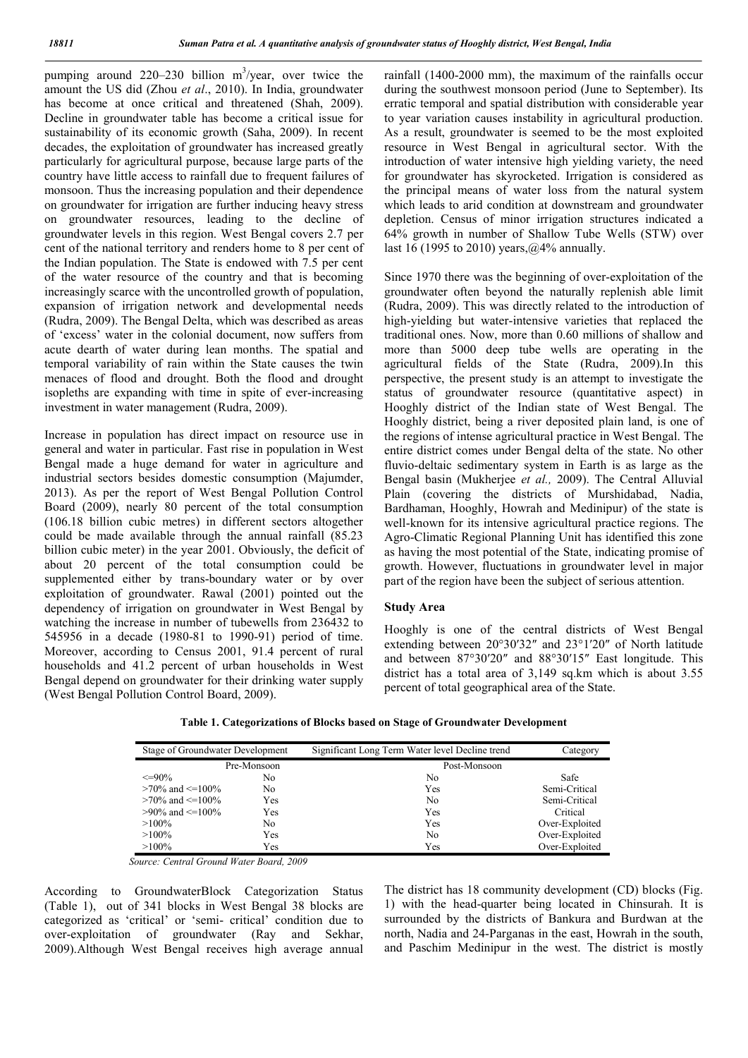pumping around  $220-230$  billion m<sup>3</sup>/year, over twice the amount the US did (Zhou *et al*., 2010). In India, groundwater has become at once critical and threatened (Shah, 2009). Decline in groundwater table has become a critical issue for sustainability of its economic growth (Saha, 2009). In recent decades, the exploitation of groundwater has increased greatly particularly for agricultural purpose, because large parts of the country have little access to rainfall due to frequent failures of monsoon. Thus the increasing population and their dependence on groundwater for irrigation are further inducing heavy stress on groundwater resources, leading to the decline of groundwater levels in this region. West Bengal covers 2.7 per cent of the national territory and renders home to 8 per cent of the Indian population. The State is endowed with 7.5 per cent of the water resource of the country and that is becoming increasingly scarce with the uncontrolled growth of population, expansion of irrigation network and developmental needs (Rudra, 2009). The Bengal Delta, which was described as areas of 'excess' water in the colonial document, now suffers from acute dearth of water during lean months. The spatial and temporal variability of rain within the State causes the twin menaces of flood and drought. Both the flood and drought isopleths are expanding with time in spite of ever-increasing investment in water management (Rudra, 2009).

Increase in population has direct impact on resource use in general and water in particular. Fast rise in population in West Bengal made a huge demand for water in agriculture and industrial sectors besides domestic consumption (Majumder, 2013). As per the report of West Bengal Pollution Control Board (2009), nearly 80 percent of the total consumption (106.18 billion cubic metres) in different sectors altogether could be made available through the annual rainfall (85.23 billion cubic meter) in the year 2001. Obviously, the deficit of about 20 percent of the total consumption could be supplemented either by trans-boundary water or by over exploitation of groundwater. Rawal (2001) pointed out the dependency of irrigation on groundwater in West Bengal by watching the increase in number of tubewells from 236432 to 545956 in a decade (1980-81 to 1990-91) period of time. Moreover, according to Census 2001, 91.4 percent of rural households and 41.2 percent of urban households in West Bengal depend on groundwater for their drinking water supply (West Bengal Pollution Control Board, 2009).

rainfall (1400-2000 mm), the maximum of the rainfalls occur during the southwest monsoon period (June to September). Its erratic temporal and spatial distribution with considerable year to year variation causes instability in agricultural production. As a result, groundwater is seemed to be the most exploited resource in West Bengal in agricultural sector. With the introduction of water intensive high yielding variety, the need for groundwater has skyrocketed. Irrigation is considered as the principal means of water loss from the natural system which leads to arid condition at downstream and groundwater depletion. Census of minor irrigation structures indicated a 64% growth in number of Shallow Tube Wells (STW) over last 16 (1995 to 2010) years,  $\omega$ 4% annually.

Since 1970 there was the beginning of over-exploitation of the groundwater often beyond the naturally replenish able limit (Rudra, 2009). This was directly related to the introduction of high-yielding but water-intensive varieties that replaced the traditional ones. Now, more than 0.60 millions of shallow and more than 5000 deep tube wells are operating in the agricultural fields of the State (Rudra, 2009).In this perspective, the present study is an attempt to investigate the status of groundwater resource (quantitative aspect) in Hooghly district of the Indian state of West Bengal. The Hooghly district, being a river deposited plain land, is one of the regions of intense agricultural practice in West Bengal. The entire district comes under Bengal delta of the state. No other fluvio-deltaic sedimentary system in Earth is as large as the Bengal basin (Mukherjee *et al.,* 2009). The Central Alluvial Plain (covering the districts of Murshidabad, Nadia, Bardhaman, Hooghly, Howrah and Medinipur) of the state is well-known for its intensive agricultural practice regions. The Agro-Climatic Regional Planning Unit has identified this zone as having the most potential of the State, indicating promise of growth. However, fluctuations in groundwater level in major part of the region have been the subject of serious attention.

### Study Area

Hooghly is one of the central districts of West Bengal extending between 20°30′32″ and 23°1′20″ of North latitude and between 87°30′20″ and 88°30′15″ East longitude. This district has a total area of 3,149 sq.km which is about 3.55 percent of total geographical area of the State.

| Stage of Groundwater Development |     | Significant Long Term Water level Decline trend | Category       |  |
|----------------------------------|-----|-------------------------------------------------|----------------|--|
| Pre-Monsoon                      |     | Post-Monsoon                                    |                |  |
| $\leq=90\%$                      | No  | No                                              | Safe           |  |
| $>70\%$ and $\leq 100\%$         | No  | Yes                                             | Semi-Critical  |  |
| $>70\%$ and $\leq 100\%$         | Yes | No                                              | Semi-Critical  |  |
| $>90\%$ and $\leq 100\%$         | Yes | Yes                                             | Critical       |  |
| $>100\%$                         | No  | Yes                                             | Over-Exploited |  |
| $>100\%$                         | Yes | No                                              | Over-Exploited |  |
| $>100\%$                         | Yes | Yes                                             | Over-Exploited |  |

Table 1. Categorizations of Blocks based on Stage of Groundwater Development

 *Source: Central Ground Water Board, 2009*

According to GroundwaterBlock Categorization Status (Table 1), out of 341 blocks in West Bengal 38 blocks are categorized as 'critical' or 'semi- critical' condition due to over-exploitation of groundwater (Ray and Sekhar, 2009).Although West Bengal receives high average annual The district has 18 community development (CD) blocks (Fig. 1) with the head-quarter being located in Chinsurah. It is surrounded by the districts of Bankura and Burdwan at the north, Nadia and 24-Parganas in the east, Howrah in the south, and Paschim Medinipur in the west. The district is mostly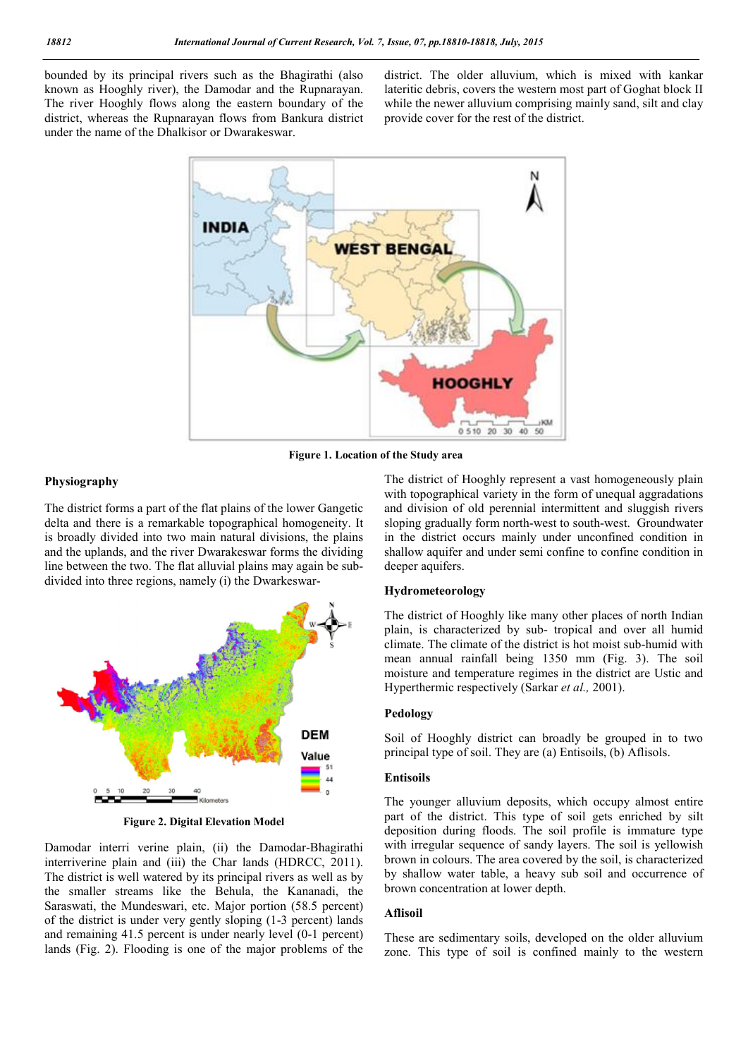bounded by its principal rivers such as the Bhagirathi (also known as Hooghly river), the Damodar and the Rupnarayan. The river Hooghly flows along the eastern boundary of the district, whereas the Rupnarayan flows from Bankura district under the name of the Dhalkisor or Dwarakeswar.

district. The older alluvium, which is mixed with kankar lateritic debris, covers the western most part of Goghat block II while the newer alluvium comprising mainly sand, silt and clay provide cover for the rest of the district.



Figure 1. Location of the Study area

## Physiography

The district forms a part of the flat plains of the lower Gangetic delta and there is a remarkable topographical homogeneity. It is broadly divided into two main natural divisions, the plains and the uplands, and the river Dwarakeswar forms the dividing line between the two. The flat alluvial plains may again be subdivided into three regions, namely (i) the Dwarkeswar-



Figure 2. Digital Elevation Model

Damodar interri verine plain, (ii) the Damodar-Bhagirathi interriverine plain and (iii) the Char lands (HDRCC, 2011). The district is well watered by its principal rivers as well as by the smaller streams like the Behula, the Kananadi, the Saraswati, the Mundeswari, etc. Major portion (58.5 percent) of the district is under very gently sloping (1-3 percent) lands and remaining 41.5 percent is under nearly level (0-1 percent) lands (Fig. 2). Flooding is one of the major problems of the The district of Hooghly represent a vast homogeneously plain with topographical variety in the form of unequal aggradations and division of old perennial intermittent and sluggish rivers sloping gradually form north-west to south-west. Groundwater in the district occurs mainly under unconfined condition in shallow aquifer and under semi confine to confine condition in deeper aquifers.

#### Hydrometeorology

The district of Hooghly like many other places of north Indian plain, is characterized by sub- tropical and over all humid climate. The climate of the district is hot moist sub-humid with mean annual rainfall being 1350 mm (Fig. 3). The soil moisture and temperature regimes in the district are Ustic and Hyperthermic respectively (Sarkar *et al.,* 2001).

# Pedology

Soil of Hooghly district can broadly be grouped in to two principal type of soil. They are (a) Entisoils, (b) Aflisols.

#### Entisoils

The younger alluvium deposits, which occupy almost entire part of the district. This type of soil gets enriched by silt deposition during floods. The soil profile is immature type with irregular sequence of sandy layers. The soil is yellowish brown in colours. The area covered by the soil, is characterized by shallow water table, a heavy sub soil and occurrence of brown concentration at lower depth.

# Aflisoil

These are sedimentary soils, developed on the older alluvium zone. This type of soil is confined mainly to the western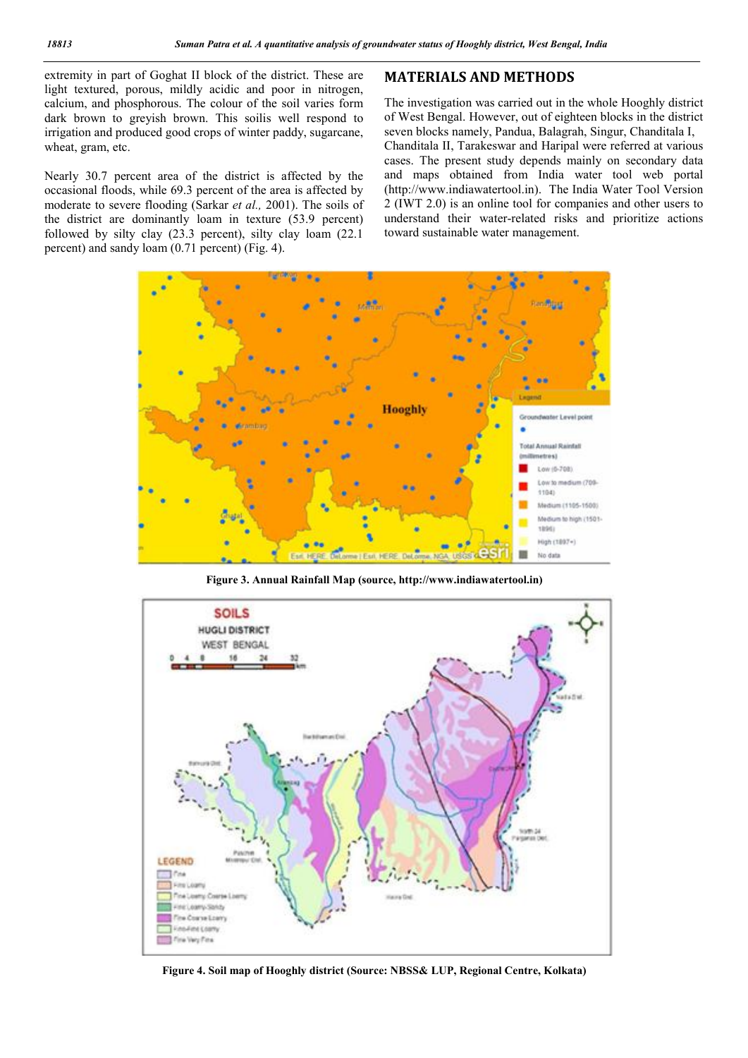extremity in part of Goghat II block of the district. These are light textured, porous, mildly acidic and poor in nitrogen, calcium, and phosphorous. The colour of the soil varies form dark brown to greyish brown. This soilis well respond to irrigation and produced good crops of winter paddy, sugarcane, wheat, gram, etc.

Nearly 30.7 percent area of the district is affected by the occasional floods, while 69.3 percent of the area is affected by moderate to severe flooding (Sarkar *et al.,* 2001). The soils of the district are dominantly loam in texture (53.9 percent) followed by silty clay (23.3 percent), silty clay loam (22.1 percent) and sandy loam (0.71 percent) (Fig. 4).

# MATERIALS AND METHODS

The investigation was carried out in the whole Hooghly district of West Bengal. However, out of eighteen blocks in the district seven blocks namely, Pandua, Balagrah, Singur, Chanditala I, Chanditala II, Tarakeswar and Haripal were referred at various cases. The present study depends mainly on secondary data and maps obtained from India water tool web portal (http://www.indiawatertool.in). The India Water Tool Version 2 (IWT 2.0) is an online tool for companies and other users to understand their water-related risks and prioritize actions toward sustainable water management.



Figure 3. Annual Rainfall Map (source, http://www.indiawatertool.in)



Figure 4. Soil map of Hooghly district (Source: NBSS& LUP, Regional Centre, Kolkata)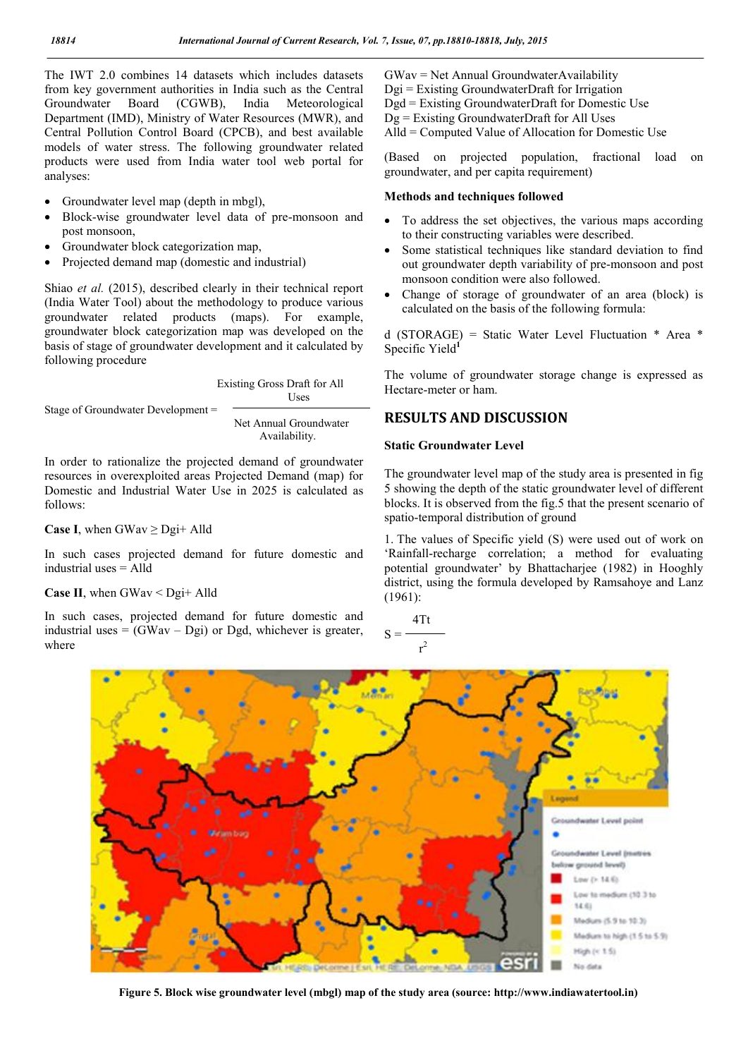The IWT 2.0 combines 14 datasets which includes datasets from key government authorities in India such as the Central<br>Groundwater Board (CGWB), India Meteorological Board (CGWB), India Meteorological Department (IMD), Ministry of Water Resources (MWR), and Central Pollution Control Board (CPCB), and best available models of water stress. The following groundwater related products were used from India water tool web portal for analyses:

- Groundwater level map (depth in mbgl),
- Block-wise groundwater level data of pre-monsoon and post monsoon,
- Groundwater block categorization map,
- Projected demand map (domestic and industrial)

Shiao *et al.* (2015), described clearly in their technical report (India Water Tool) about the methodology to produce various groundwater related products (maps). For example, groundwater block categorization map was developed on the basis of stage of groundwater development and it calculated by following procedure

 Existing Gross Draft for All Uses

Stage of Groundwater Development =

 Net Annual Groundwater Availability.

In order to rationalize the projected demand of groundwater resources in overexploited areas Projected Demand (map) for Domestic and Industrial Water Use in 2025 is calculated as follows:

**Case I**, when GWav  $\geq$  Dgi+ Alld

In such cases projected demand for future domestic and industrial uses = Alld

**Case II**, when GWav  $\leq$  Dgi+ Alld

In such cases, projected demand for future domestic and industrial uses  $=$  (GWav – Dgi) or Dgd, whichever is greater, where

GWav = Net Annual GroundwaterAvailability Dgi = Existing GroundwaterDraft for Irrigation Dgd = Existing GroundwaterDraft for Domestic Use Dg = Existing GroundwaterDraft for All Uses Alld = Computed Value of Allocation for Domestic Use

(Based on projected population, fractional load on groundwater, and per capita requirement)

## Methods and techniques followed

- To address the set objectives, the various maps according to their constructing variables were described.
- Some statistical techniques like standard deviation to find out groundwater depth variability of pre-monsoon and post monsoon condition were also followed.
- Change of storage of groundwater of an area (block) is calculated on the basis of the following formula:

d (STORAGE) = Static Water Level Fluctuation \* Area \* Specific Yield<sup>1</sup>

The volume of groundwater storage change is expressed as Hectare-meter or ham.

# RESULTS AND DISCUSSION

# Static Groundwater Level

The groundwater level map of the study area is presented in fig 5 showing the depth of the static groundwater level of different blocks. It is observed from the fig.5 that the present scenario of spatio-temporal distribution of ground

1. The values of Specific yield (S) were used out of work on 'Rainfall-recharge correlation; a method for evaluating potential groundwater' by Bhattacharjee (1982) in Hooghly district, using the formula developed by Ramsahoye and Lanz (1961):

 4Tt  $S =$ 2



Figure 5. Block wise groundwater level (mbgl) map of the study area (source: http://www.indiawatertool.in)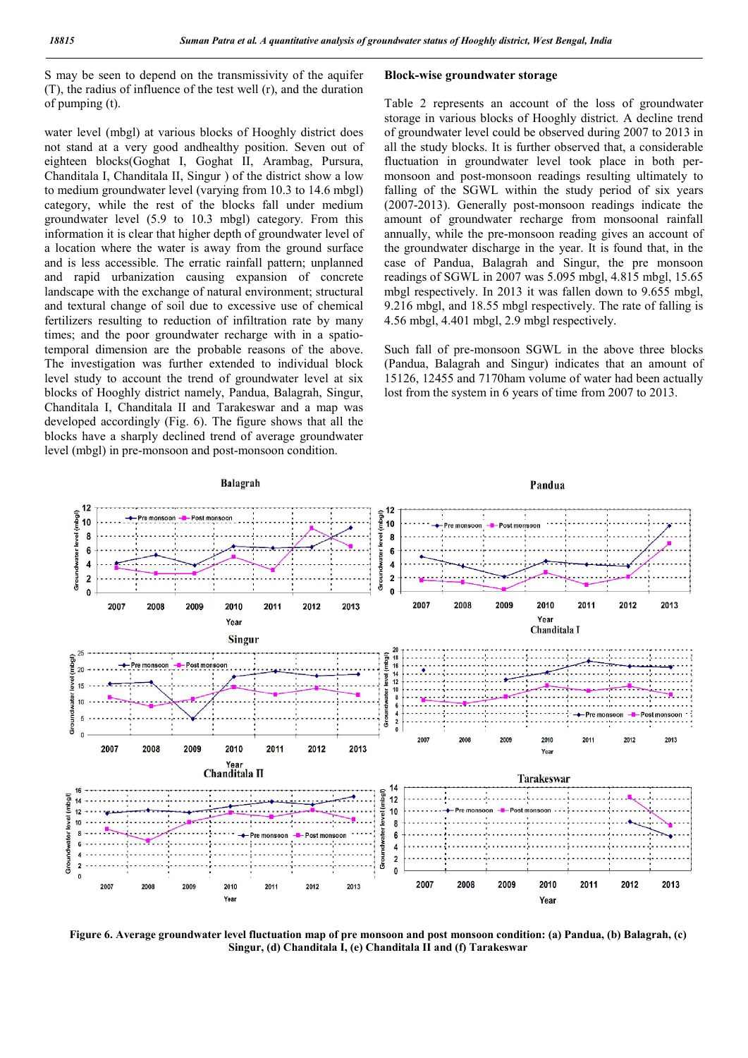S may be seen to depend on the transmissivity of the aquifer (T), the radius of influence of the test well (r), and the duration of pumping (t).

water level (mbgl) at various blocks of Hooghly district does not stand at a very good andhealthy position. Seven out of eighteen blocks(Goghat I, Goghat II, Arambag, Pursura, Chanditala I, Chanditala II, Singur ) of the district show a low to medium groundwater level (varying from 10.3 to 14.6 mbgl) category, while the rest of the blocks fall under medium groundwater level (5.9 to 10.3 mbgl) category. From this information it is clear that higher depth of groundwater level of a location where the water is away from the ground surface and is less accessible. The erratic rainfall pattern; unplanned and rapid urbanization causing expansion of concrete landscape with the exchange of natural environment; structural and textural change of soil due to excessive use of chemical fertilizers resulting to reduction of infiltration rate by many times; and the poor groundwater recharge with in a spatiotemporal dimension are the probable reasons of the above. The investigation was further extended to individual block level study to account the trend of groundwater level at six blocks of Hooghly district namely, Pandua, Balagrah, Singur, Chanditala I, Chanditala II and Tarakeswar and a map was developed accordingly (Fig. 6). The figure shows that all the blocks have a sharply declined trend of average groundwater level (mbgl) in pre-monsoon and post-monsoon condition.

### Block-wise groundwater storage

Table 2 represents an account of the loss of groundwater storage in various blocks of Hooghly district. A decline trend of groundwater level could be observed during 2007 to 2013 in all the study blocks. It is further observed that, a considerable fluctuation in groundwater level took place in both permonsoon and post-monsoon readings resulting ultimately to falling of the SGWL within the study period of six years (2007-2013). Generally post-monsoon readings indicate the amount of groundwater recharge from monsoonal rainfall annually, while the pre-monsoon reading gives an account of the groundwater discharge in the year. It is found that, in the case of Pandua, Balagrah and Singur, the pre monsoon readings of SGWL in 2007 was 5.095 mbgl, 4.815 mbgl, 15.65 mbgl respectively. In 2013 it was fallen down to 9.655 mbgl, 9.216 mbgl, and 18.55 mbgl respectively. The rate of falling is 4.56 mbgl, 4.401 mbgl, 2.9 mbgl respectively.

Such fall of pre-monsoon SGWL in the above three blocks (Pandua, Balagrah and Singur) indicates that an amount of 15126, 12455 and 7170ham volume of water had been actually lost from the system in 6 years of time from 2007 to 2013.



Figure 6. Average groundwater level fluctuation map of pre monsoon and post monsoon condition: (a) Pandua, (b) Balagrah, (c) Singur, (d) Chanditala I, (e) Chanditala II and (f) Tarakeswar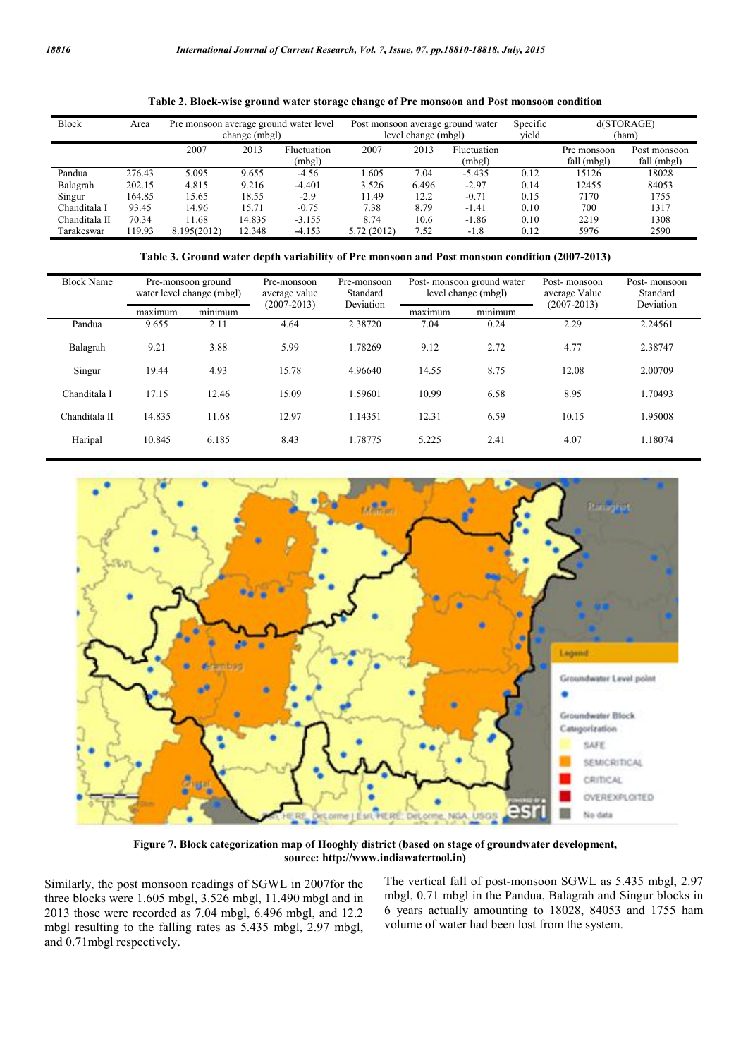| <b>Block</b>  | Area   | Pre monsoon average ground water level<br>change (mbgl) |        |                       | Post monsoon average ground water<br>level change (mbgl) |       |                       | Specific<br>vield | d(STORAGE)<br>(ham)        |                             |
|---------------|--------|---------------------------------------------------------|--------|-----------------------|----------------------------------------------------------|-------|-----------------------|-------------------|----------------------------|-----------------------------|
|               |        | 2007                                                    | 2013   | Fluctuation<br>(mbgl) | 2007                                                     | 2013  | Fluctuation<br>(mbgl) |                   | Pre monsoon<br>fall (mbgl) | Post monsoon<br>fall (mbgl) |
| Pandua        | 276.43 | 5.095                                                   | 9.655  | $-4.56$               | .605                                                     | 7.04  | $-5.435$              | 0.12              | 15126                      | 18028                       |
| Balagrah      | 202.15 | 4.815                                                   | 9.216  | $-4.401$              | 3.526                                                    | 6.496 | $-2.97$               | 0.14              | 12455                      | 84053                       |
| Singur        | 164.85 | 15.65                                                   | 18.55  | $-2.9$                | 11.49                                                    | 12.2  | $-0.71$               | 0.15              | 7170                       | 1755                        |
| Chanditala I  | 93.45  | 14.96                                                   | 15.71  | $-0.75$               | 7.38                                                     | 8.79  | $-1.41$               | 0.10              | 700                        | 1317                        |
| Chanditala II | 70.34  | 11.68                                                   | 14.835 | $-3.155$              | 8.74                                                     | 10.6  | $-1.86$               | 0.10              | 2219                       | 1308                        |
| Tarakeswar    | 119.93 | 8.195(2012)                                             | 12.348 | $-4.153$              | 5.72 (2012)                                              | 7.52  | $-1.8$                | 0.12              | 5976                       | 2590                        |

Table 2. Block-wise ground water storage change of Pre monsoon and Post monsoon condition

Table 3. Ground water depth variability of Pre monsoon and Post monsoon condition (2007-2013)

| <b>Block Name</b> | Pre-monsoon ground<br>water level change (mbgl) |         | Pre-monsoon<br>average value<br>$(2007 - 2013)$ | Pre-monsoon<br>Standard<br>Deviation | Post-monsoon ground water<br>level change (mbgl) |         | Post-monsoon<br>average Value<br>$(2007 - 2013)$ | Post-monsoon<br>Standard<br>Deviation |
|-------------------|-------------------------------------------------|---------|-------------------------------------------------|--------------------------------------|--------------------------------------------------|---------|--------------------------------------------------|---------------------------------------|
|                   | maximum                                         | minimum |                                                 |                                      | maximum                                          | minimum |                                                  |                                       |
| Pandua            | 9.655                                           | 2.11    | 4.64                                            | 2.38720                              | 7.04                                             | 0.24    | 2.29                                             | 2.24561                               |
| Balagrah          | 9.21                                            | 3.88    | 5.99                                            | 1.78269                              | 9.12                                             | 2.72    | 4.77                                             | 2.38747                               |
| Singur            | 19.44                                           | 4.93    | 15.78                                           | 4.96640                              | 14.55                                            | 8.75    | 12.08                                            | 2.00709                               |
| Chanditala I      | 17.15                                           | 12.46   | 15.09                                           | 1.59601                              | 10.99                                            | 6.58    | 8.95                                             | 1.70493                               |
| Chanditala II     | 14.835                                          | 11.68   | 12.97                                           | 1.14351                              | 12.31                                            | 6.59    | 10.15                                            | 1.95008                               |
| Haripal           | 10.845                                          | 6.185   | 8.43                                            | 1.78775                              | 5.225                                            | 2.41    | 4.07                                             | 1.18074                               |



Figure 7. Block categorization map of Hooghly district (based on stage of groundwater development, source: http://www.indiawatertool.in)

Similarly, the post monsoon readings of SGWL in 2007for the three blocks were 1.605 mbgl, 3.526 mbgl, 11.490 mbgl and in 2013 those were recorded as 7.04 mbgl, 6.496 mbgl, and 12.2 mbgl resulting to the falling rates as 5.435 mbgl, 2.97 mbgl, and 0.71mbgl respectively.

The vertical fall of post-monsoon SGWL as 5.435 mbgl, 2.97 mbgl, 0.71 mbgl in the Pandua, Balagrah and Singur blocks in 6 years actually amounting to 18028, 84053 and 1755 ham volume of water had been lost from the system.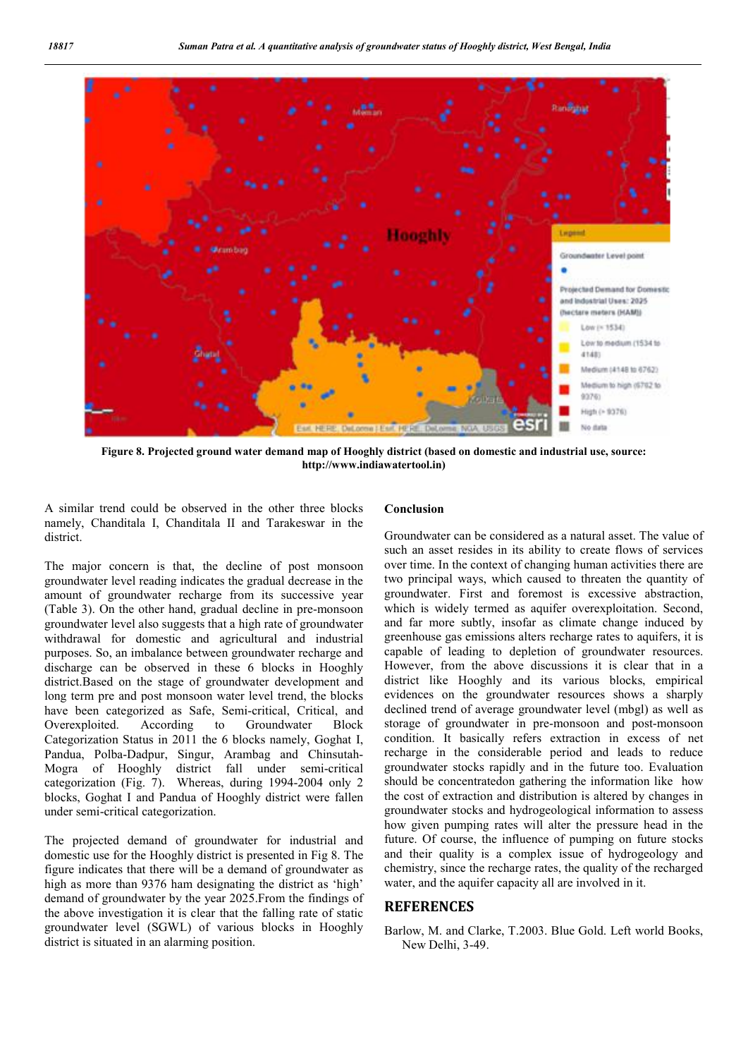

Figure 8. Projected ground water demand map of Hooghly district (based on domestic and industrial use, source: http://www.indiawatertool.in)

A similar trend could be observed in the other three blocks namely, Chanditala I, Chanditala II and Tarakeswar in the district.

The major concern is that, the decline of post monsoon groundwater level reading indicates the gradual decrease in the amount of groundwater recharge from its successive year (Table 3). On the other hand, gradual decline in pre-monsoon groundwater level also suggests that a high rate of groundwater withdrawal for domestic and agricultural and industrial purposes. So, an imbalance between groundwater recharge and discharge can be observed in these 6 blocks in Hooghly district.Based on the stage of groundwater development and long term pre and post monsoon water level trend, the blocks have been categorized as Safe, Semi-critical, Critical, and Overexploited. According to Groundwater Block Categorization Status in 2011 the 6 blocks namely, Goghat I, Pandua, Polba-Dadpur, Singur, Arambag and Chinsutah-Mogra of Hooghly district fall under semi-critical categorization (Fig. 7). Whereas, during 1994-2004 only 2 blocks, Goghat I and Pandua of Hooghly district were fallen under semi-critical categorization.

The projected demand of groundwater for industrial and domestic use for the Hooghly district is presented in Fig 8. The figure indicates that there will be a demand of groundwater as high as more than 9376 ham designating the district as 'high' demand of groundwater by the year 2025.From the findings of the above investigation it is clear that the falling rate of static groundwater level (SGWL) of various blocks in Hooghly district is situated in an alarming position.

#### Conclusion

Groundwater can be considered as a natural asset. The value of such an asset resides in its ability to create flows of services over time. In the context of changing human activities there are two principal ways, which caused to threaten the quantity of groundwater. First and foremost is excessive abstraction, which is widely termed as aquifer overexploitation. Second, and far more subtly, insofar as climate change induced by greenhouse gas emissions alters recharge rates to aquifers, it is capable of leading to depletion of groundwater resources. However, from the above discussions it is clear that in a district like Hooghly and its various blocks, empirical evidences on the groundwater resources shows a sharply declined trend of average groundwater level (mbgl) as well as storage of groundwater in pre-monsoon and post-monsoon condition. It basically refers extraction in excess of net recharge in the considerable period and leads to reduce groundwater stocks rapidly and in the future too. Evaluation should be concentratedon gathering the information like how the cost of extraction and distribution is altered by changes in groundwater stocks and hydrogeological information to assess how given pumping rates will alter the pressure head in the future. Of course, the influence of pumping on future stocks and their quality is a complex issue of hydrogeology and chemistry, since the recharge rates, the quality of the recharged water, and the aquifer capacity all are involved in it.

## **REFERENCES**

Barlow, M. and Clarke, T.2003. Blue Gold. Left world Books, New Delhi, 3-49.